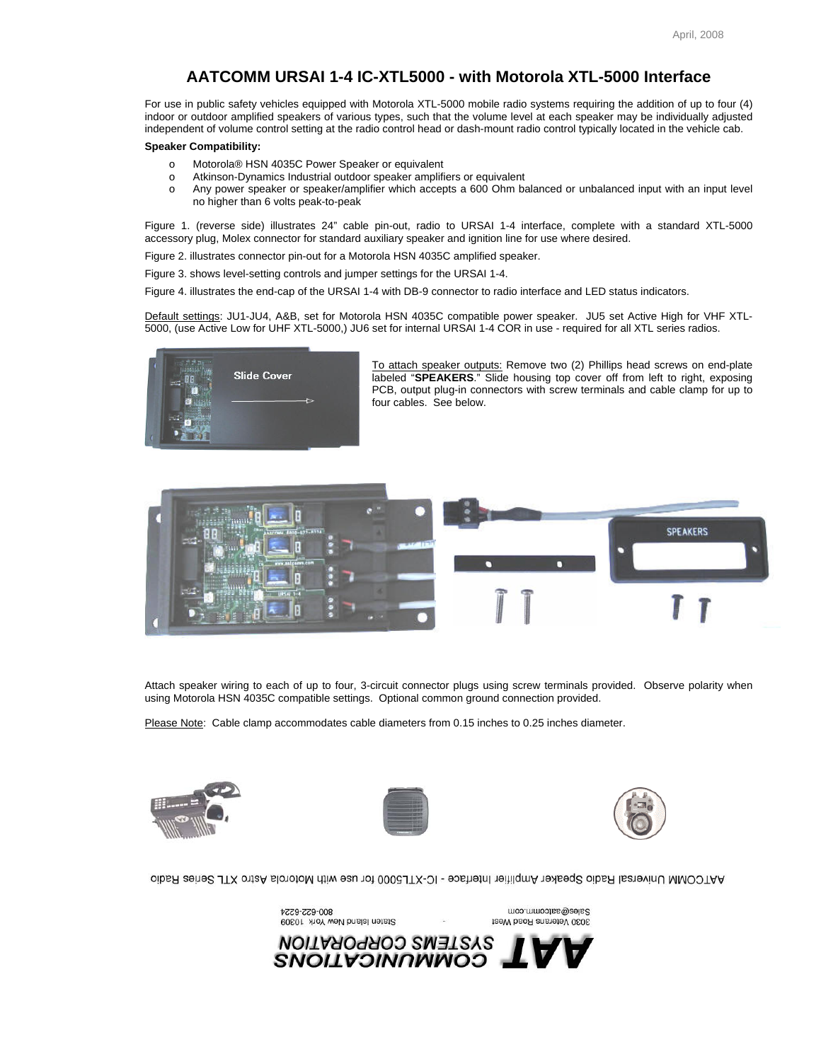## **AATCOMM URSAI 1-4 IC-XTL5000 - with Motorola XTL-5000 Interface**

For use in public safety vehicles equipped with Motorola XTL-5000 mobile radio systems requiring the addition of up to four (4) indoor or outdoor amplified speakers of various types, such that the volume level at each speaker may be individually adjusted independent of volume control setting at the radio control head or dash-mount radio control typically located in the vehicle cab.

## **Speaker Compatibility:**

- o Motorola® HSN 4035C Power Speaker or equivalent
- o Atkinson-Dynamics Industrial outdoor speaker amplifiers or equivalent
- o Any power speaker or speaker/amplifier which accepts a 600 Ohm balanced or unbalanced input with an input level no higher than 6 volts peak-to-peak

Figure 1. (reverse side) illustrates 24" cable pin-out, radio to URSAI 1-4 interface, complete with a standard XTL-5000 accessory plug, Molex connector for standard auxiliary speaker and ignition line for use where desired.

Figure 2. illustrates connector pin-out for a Motorola HSN 4035C amplified speaker.

Figure 3. shows level-setting controls and jumper settings for the URSAI 1-4.

Figure 4. illustrates the end-cap of the URSAI 1-4 with DB-9 connector to radio interface and LED status indicators.

Default settings: JU1-JU4, A&B, set for Motorola HSN 4035C compatible power speaker. JU5 set Active High for VHF XTL-5000, (use Active Low for UHF XTL-5000,) JU6 set for internal URSAI 1-4 COR in use - required for all XTL series radios.



To attach speaker outputs: Remove two (2) Phillips head screws on end-plate labeled "**SPEAKERS**." Slide housing top cover off from left to right, exposing PCB, output plug-in connectors with screw terminals and cable clamp for up to four cables. See below.



Attach speaker wiring to each of up to four, 3-circuit connector plugs using screw terminals provided. Observe polarity when using Motorola HSN 4035C compatible settings. Optional common ground connection provided.

Please Note: Cable clamp accommodates cable diameters from 0.15 inches to 0.25 inches diameter.

800-622-6224







Sales@aatcomm.com

3030 Veterans Road West

AHTOOMU Universal Radio Speaker Amplifier Interface - IC-XTL5000 for use with Motorola Astro XTL Series Radio